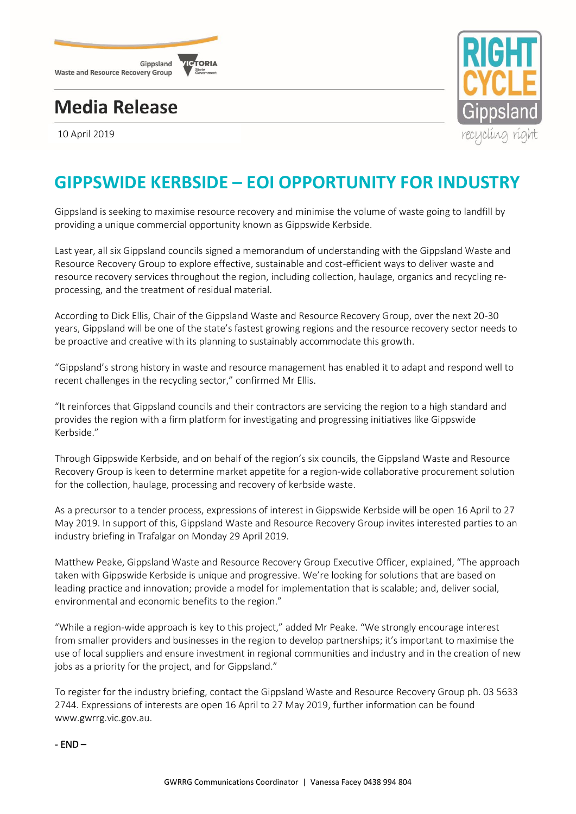

## **Media Release**

10 April 2019



## **GIPPSWIDE KERBSIDE – EOI OPPORTUNITY FOR INDUSTRY**

Gippsland is seeking to maximise resource recovery and minimise the volume of waste going to landfill by providing a unique commercial opportunity known as Gippswide Kerbside.

Last year, all six Gippsland councils signed a memorandum of understanding with the Gippsland Waste and Resource Recovery Group to explore effective, sustainable and cost-efficient ways to deliver waste and resource recovery services throughout the region, including collection, haulage, organics and recycling reprocessing, and the treatment of residual material.

According to Dick Ellis, Chair of the Gippsland Waste and Resource Recovery Group, over the next 20-30 years, Gippsland will be one of the state's fastest growing regions and the resource recovery sector needs to be proactive and creative with its planning to sustainably accommodate this growth.

"Gippsland's strong history in waste and resource management has enabled it to adapt and respond well to recent challenges in the recycling sector," confirmed Mr Ellis.

"It reinforces that Gippsland councils and their contractors are servicing the region to a high standard and provides the region with a firm platform for investigating and progressing initiatives like Gippswide Kerbside."

Through Gippswide Kerbside, and on behalf of the region's six councils, the Gippsland Waste and Resource Recovery Group is keen to determine market appetite for a region-wide collaborative procurement solution for the collection, haulage, processing and recovery of kerbside waste.

As a precursor to a tender process, expressions of interest in Gippswide Kerbside will be open 16 April to 27 May 2019. In support of this, Gippsland Waste and Resource Recovery Group invites interested parties to an industry briefing in Trafalgar on Monday 29 April 2019.

Matthew Peake, Gippsland Waste and Resource Recovery Group Executive Officer, explained, "The approach taken with Gippswide Kerbside is unique and progressive. We're looking for solutions that are based on leading practice and innovation; provide a model for implementation that is scalable; and, deliver social, environmental and economic benefits to the region."

"While a region-wide approach is key to this project," added Mr Peake. "We strongly encourage interest from smaller providers and businesses in the region to develop partnerships; it's important to maximise the use of local suppliers and ensure investment in regional communities and industry and in the creation of new jobs as a priority for the project, and for Gippsland."

To register for the industry briefing, contact the Gippsland Waste and Resource Recovery Group ph. 03 5633 2744. Expressions of interests are open 16 April to 27 May 2019, further information can be found www.gwrrg.vic.gov.au.

- END –